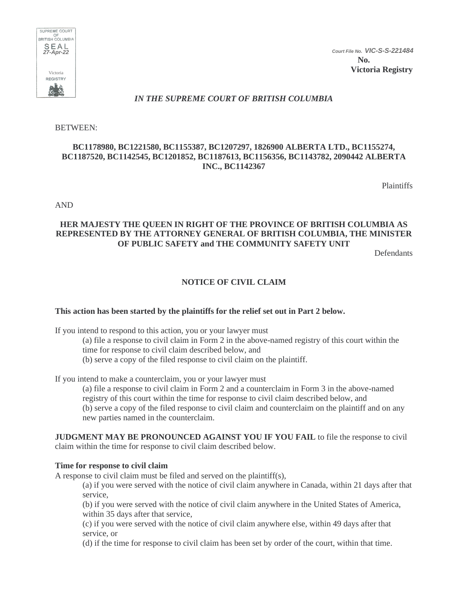

*Court File No. VIC-S-S-221484*

**No. Victoria Registry**

# *IN THE SUPREME COURT OF BRITISH COLUMBIA*

BETWEEN:

## **BC1178980, BC1221580, BC1155387, BC1207297, 1826900 ALBERTA LTD., BC1155274, BC1187520, BC1142545, BC1201852, BC1187613, BC1156356, BC1143782, 2090442 ALBERTA INC., BC1142367**

Plaintiffs

AND

## **HER MAJESTY THE QUEEN IN RIGHT OF THE PROVINCE OF BRITISH COLUMBIA AS REPRESENTED BY THE ATTORNEY GENERAL OF BRITISH COLUMBIA, THE MINISTER OF PUBLIC SAFETY and THE COMMUNITY SAFETY UNIT**

Defendants

# **NOTICE OF CIVIL CLAIM**

#### **This action has been started by the plaintiffs for the relief set out in Part 2 below.**

If you intend to respond to this action, you or your lawyer must

(a) file a response to civil claim in Form 2 in the above-named registry of this court within the time for response to civil claim described below, and

(b) serve a copy of the filed response to civil claim on the plaintiff.

If you intend to make a counterclaim, you or your lawyer must

(a) file a response to civil claim in Form 2 and a counterclaim in Form 3 in the above-named registry of this court within the time for response to civil claim described below, and (b) serve a copy of the filed response to civil claim and counterclaim on the plaintiff and on any new parties named in the counterclaim.

**JUDGMENT MAY BE PRONOUNCED AGAINST YOU IF YOU FAIL** to file the response to civil claim within the time for response to civil claim described below.

#### **Time for response to civil claim**

A response to civil claim must be filed and served on the plaintiff(s),

(a) if you were served with the notice of civil claim anywhere in Canada, within 21 days after that service,

(b) if you were served with the notice of civil claim anywhere in the United States of America, within 35 days after that service,

(c) if you were served with the notice of civil claim anywhere else, within 49 days after that service, or

(d) if the time for response to civil claim has been set by order of the court, within that time.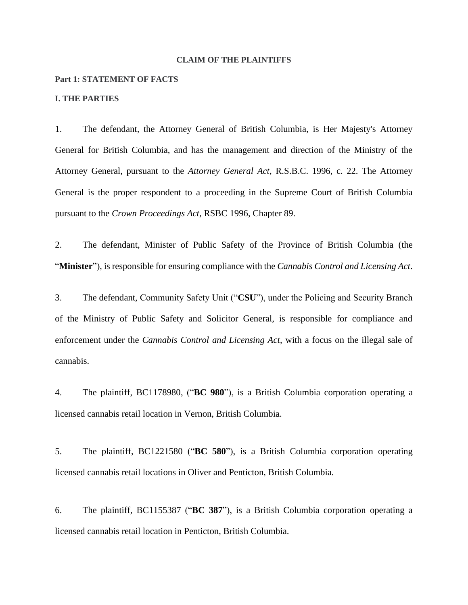#### **CLAIM OF THE PLAINTIFFS**

#### **Part 1: STATEMENT OF FACTS**

#### **I. THE PARTIES**

1. The defendant, the Attorney General of British Columbia, is Her Majesty's Attorney General for British Columbia, and has the management and direction of the Ministry of the Attorney General, pursuant to the *Attorney General Act*, R.S.B.C. 1996, c. 22. The Attorney General is the proper respondent to a proceeding in the Supreme Court of British Columbia pursuant to the *Crown Proceedings Act*, RSBC 1996, Chapter 89.

2. The defendant, Minister of Public Safety of the Province of British Columbia (the "**Minister**"), is responsible for ensuring compliance with the *Cannabis Control and Licensing Act*.

3. The defendant, Community Safety Unit ("**CSU**"), under the Policing and Security Branch of the Ministry of Public Safety and Solicitor General, is responsible for compliance and enforcement under the *Cannabis Control and Licensing Act*, with a focus on the illegal sale of cannabis.

4. The plaintiff, BC1178980, ("**BC 980**"), is a British Columbia corporation operating a licensed cannabis retail location in Vernon, British Columbia.

5. The plaintiff, BC1221580 ("**BC 580**"), is a British Columbia corporation operating licensed cannabis retail locations in Oliver and Penticton, British Columbia.

6. The plaintiff, BC1155387 ("**BC 387**"), is a British Columbia corporation operating a licensed cannabis retail location in Penticton, British Columbia.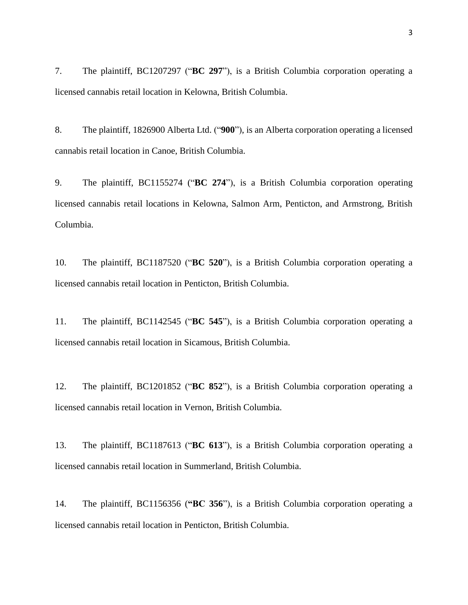7. The plaintiff, BC1207297 ("**BC 297**"), is a British Columbia corporation operating a licensed cannabis retail location in Kelowna, British Columbia.

8. The plaintiff, 1826900 Alberta Ltd. ("**900**"), is an Alberta corporation operating a licensed cannabis retail location in Canoe, British Columbia.

9. The plaintiff, BC1155274 ("**BC 274**"), is a British Columbia corporation operating licensed cannabis retail locations in Kelowna, Salmon Arm, Penticton, and Armstrong, British Columbia.

10. The plaintiff, BC1187520 ("**BC 520**"), is a British Columbia corporation operating a licensed cannabis retail location in Penticton, British Columbia.

11. The plaintiff, BC1142545 ("**BC 545**"), is a British Columbia corporation operating a licensed cannabis retail location in Sicamous, British Columbia.

12. The plaintiff, BC1201852 ("**BC 852**"), is a British Columbia corporation operating a licensed cannabis retail location in Vernon, British Columbia.

13. The plaintiff, BC1187613 ("**BC 613**"), is a British Columbia corporation operating a licensed cannabis retail location in Summerland, British Columbia.

14. The plaintiff, BC1156356 (**"BC 356**"), is a British Columbia corporation operating a licensed cannabis retail location in Penticton, British Columbia.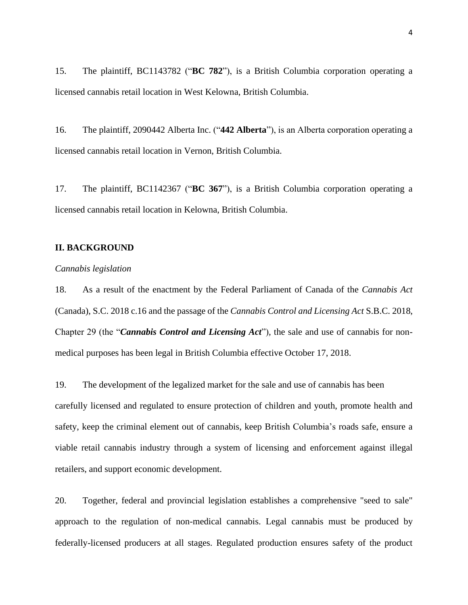15. The plaintiff, BC1143782 ("**BC 782**"), is a British Columbia corporation operating a licensed cannabis retail location in West Kelowna, British Columbia.

16. The plaintiff, 2090442 Alberta Inc. ("**442 Alberta**"), is an Alberta corporation operating a licensed cannabis retail location in Vernon, British Columbia.

17. The plaintiff, BC1142367 ("**BC 367**"), is a British Columbia corporation operating a licensed cannabis retail location in Kelowna, British Columbia.

## **II. BACKGROUND**

## *Cannabis legislation*

18. As a result of the enactment by the Federal Parliament of Canada of the *Cannabis Act* (Canada), S.C. 2018 c.16 and the passage of the *Cannabis Control and Licensing Act* S.B.C. 2018, Chapter 29 (the "*Cannabis Control and Licensing Act*")*,* the sale and use of cannabis for nonmedical purposes has been legal in British Columbia effective October 17, 2018.

19. The development of the legalized market for the sale and use of cannabis has been carefully licensed and regulated to ensure protection of children and youth, promote health and safety, keep the criminal element out of cannabis, keep British Columbia's roads safe, ensure a viable retail cannabis industry through a system of licensing and enforcement against illegal retailers, and support economic development.

20. Together, federal and provincial legislation establishes a comprehensive "seed to sale" approach to the regulation of non-medical cannabis. Legal cannabis must be produced by federally-licensed producers at all stages. Regulated production ensures safety of the product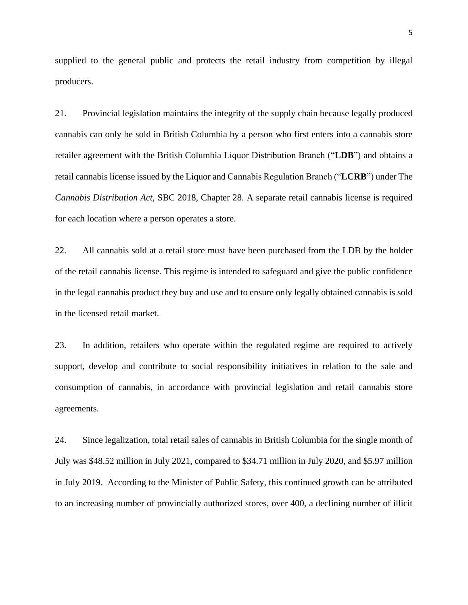supplied to the general public and protects the retail industry from competition by illegal producers.

21. Provincial legislation maintains the integrity of the supply chain because legally produced cannabis can only be sold in British Columbia by a person who first enters into a cannabis store retailer agreement with the British Columbia Liquor Distribution Branch ("**LDB**") and obtains a retail cannabis license issued by the Liquor and Cannabis Regulation Branch ("**LCRB**") under The *Cannabis Distribution Act,* SBC 2018, Chapter 28. A separate retail cannabis license is required for each location where a person operates a store.

22. All cannabis sold at a retail store must have been purchased from the LDB by the holder of the retail cannabis license. This regime is intended to safeguard and give the public confidence in the legal cannabis product they buy and use and to ensure only legally obtained cannabis is sold in the licensed retail market.

23. In addition, retailers who operate within the regulated regime are required to actively support, develop and contribute to social responsibility initiatives in relation to the sale and consumption of cannabis, in accordance with provincial legislation and retail cannabis store agreements.

24. Since legalization, total retail sales of cannabis in British Columbia for the single month of July was \$48.52 million in July 2021, compared to \$34.71 million in July 2020, and \$5.97 million in July 2019. According to the Minister of Public Safety, this continued growth can be attributed to an increasing number of provincially authorized stores, over 400, a declining number of illicit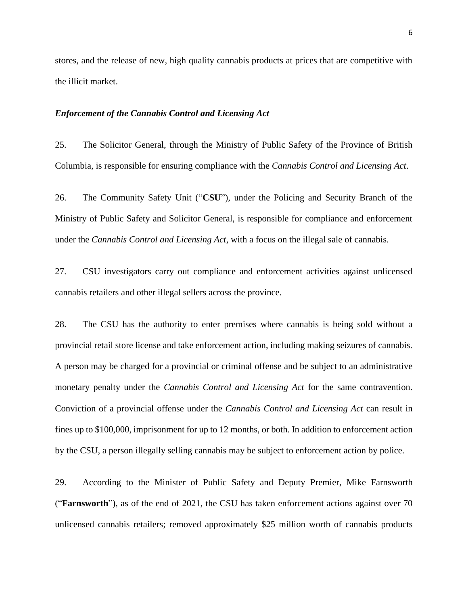stores, and the release of new, high quality cannabis products at prices that are competitive with the illicit market.

## *Enforcement of the Cannabis Control and Licensing Act*

25. The Solicitor General, through the Ministry of Public Safety of the Province of British Columbia, is responsible for ensuring compliance with the *Cannabis Control and Licensing Act*.

26. The Community Safety Unit ("**CSU**"), under the Policing and Security Branch of the Ministry of Public Safety and Solicitor General, is responsible for compliance and enforcement under the *Cannabis Control and Licensing Act*, with a focus on the illegal sale of cannabis.

27. CSU investigators carry out compliance and enforcement activities against unlicensed cannabis retailers and other illegal sellers across the province.

28. The CSU has the authority to enter premises where cannabis is being sold without a provincial retail store license and take enforcement action, including making seizures of cannabis. A person may be charged for a provincial or criminal offense and be subject to an administrative monetary penalty under the *Cannabis Control and Licensing Act* for the same contravention. Conviction of a provincial offense under the *Cannabis Control and Licensing Act* can result in fines up to \$100,000, imprisonment for up to 12 months, or both. In addition to enforcement action by the CSU, a person illegally selling cannabis may be subject to enforcement action by police.

29. According to the Minister of Public Safety and Deputy Premier, Mike Farnsworth ("**Farnsworth**"), as of the end of 2021, the CSU has taken enforcement actions against over 70 unlicensed cannabis retailers; removed approximately \$25 million worth of cannabis products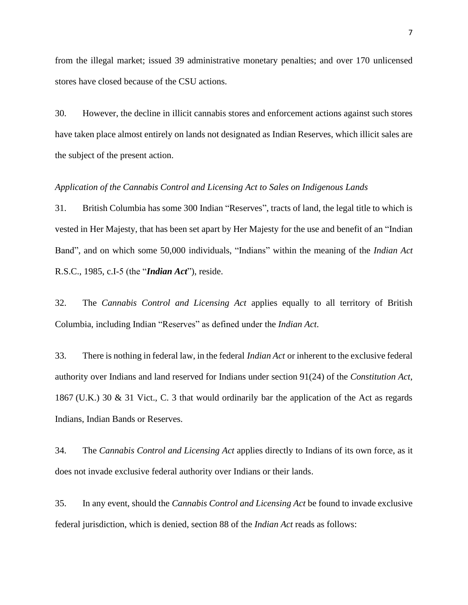from the illegal market; issued 39 administrative monetary penalties; and over 170 unlicensed stores have closed because of the CSU actions.

30. However, the decline in illicit cannabis stores and enforcement actions against such stores have taken place almost entirely on lands not designated as Indian Reserves, which illicit sales are the subject of the present action.

## *Application of the Cannabis Control and Licensing Act to Sales on Indigenous Lands*

31. British Columbia has some 300 Indian "Reserves", tracts of land, the legal title to which is vested in Her Majesty, that has been set apart by Her Majesty for the use and benefit of an "Indian Band", and on which some 50,000 individuals, "Indians" within the meaning of the *Indian Act*  R.S.C., 1985, c.I-5 (the "*Indian Act*"), reside.

32. The *Cannabis Control and Licensing Act* applies equally to all territory of British Columbia, including Indian "Reserves" as defined under the *Indian Act*.

33. There is nothing in federal law, in the federal *Indian Act* or inherent to the exclusive federal authority over Indians and land reserved for Indians under section 91(24) of the *Constitution Act*, 1867 (U.K.) 30 & 31 Vict., C. 3 that would ordinarily bar the application of the Act as regards Indians, Indian Bands or Reserves.

34. The *Cannabis Control and Licensing Act* applies directly to Indians of its own force, as it does not invade exclusive federal authority over Indians or their lands.

35. In any event, should the *Cannabis Control and Licensing Act* be found to invade exclusive federal jurisdiction, which is denied, section 88 of the *Indian Act* reads as follows: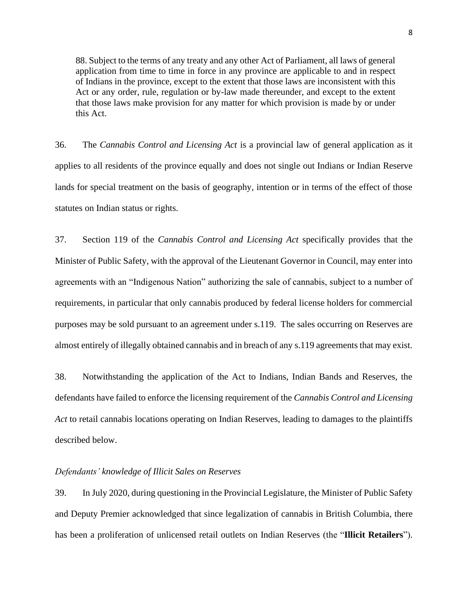88. Subject to the terms of any treaty and any other Act of Parliament, all laws of general application from time to time in force in any province are applicable to and in respect of Indians in the province, except to the extent that those laws are inconsistent with this Act or any order, rule, regulation or by-law made thereunder, and except to the extent that those laws make provision for any matter for which provision is made by or under this Act.

36. The *Cannabis Control and Licensing Act* is a provincial law of general application as it applies to all residents of the province equally and does not single out Indians or Indian Reserve lands for special treatment on the basis of geography, intention or in terms of the effect of those statutes on Indian status or rights.

37. Section 119 of the *Cannabis Control and Licensing Act* specifically provides that the Minister of Public Safety, with the approval of the Lieutenant Governor in Council, may enter into agreements with an "Indigenous Nation" authorizing the sale of cannabis, subject to a number of requirements, in particular that only cannabis produced by federal license holders for commercial purposes may be sold pursuant to an agreement under s.119. The sales occurring on Reserves are almost entirely of illegally obtained cannabis and in breach of any s.119 agreements that may exist.

38. Notwithstanding the application of the Act to Indians, Indian Bands and Reserves, the defendants have failed to enforce the licensing requirement of the *Cannabis Control and Licensing Act* to retail cannabis locations operating on Indian Reserves, leading to damages to the plaintiffs described below.

## *Defendants' knowledge of Illicit Sales on Reserves*

39. In July 2020, during questioning in the Provincial Legislature, the Minister of Public Safety and Deputy Premier acknowledged that since legalization of cannabis in British Columbia, there has been a proliferation of unlicensed retail outlets on Indian Reserves (the "**Illicit Retailers**").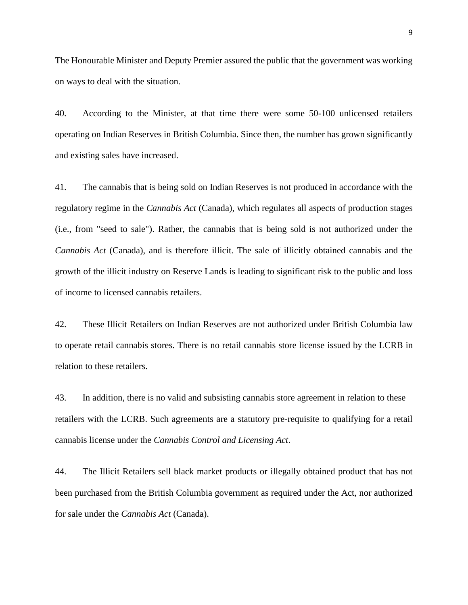The Honourable Minister and Deputy Premier assured the public that the government was working on ways to deal with the situation.

40. According to the Minister, at that time there were some 50-100 unlicensed retailers operating on Indian Reserves in British Columbia. Since then, the number has grown significantly and existing sales have increased.

41. The cannabis that is being sold on Indian Reserves is not produced in accordance with the regulatory regime in the *Cannabis Act* (Canada), which regulates all aspects of production stages (i.e., from "seed to sale"). Rather, the cannabis that is being sold is not authorized under the *Cannabis Act* (Canada), and is therefore illicit. The sale of illicitly obtained cannabis and the growth of the illicit industry on Reserve Lands is leading to significant risk to the public and loss of income to licensed cannabis retailers.

42. These Illicit Retailers on Indian Reserves are not authorized under British Columbia law to operate retail cannabis stores. There is no retail cannabis store license issued by the LCRB in relation to these retailers.

43. In addition, there is no valid and subsisting cannabis store agreement in relation to these retailers with the LCRB. Such agreements are a statutory pre-requisite to qualifying for a retail cannabis license under the *Cannabis Control and Licensing Act*.

44. The Illicit Retailers sell black market products or illegally obtained product that has not been purchased from the British Columbia government as required under the Act, nor authorized for sale under the *Cannabis Act* (Canada).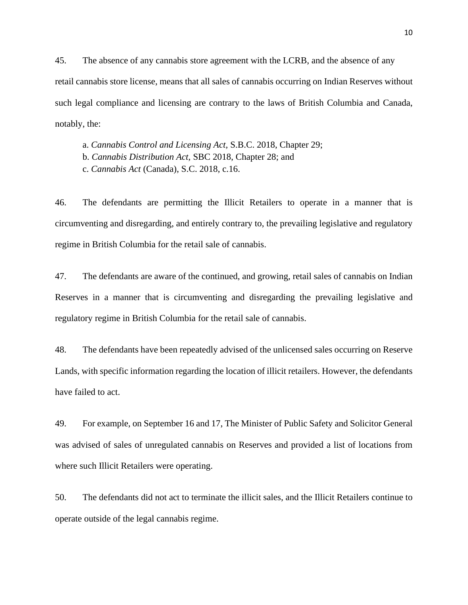45. The absence of any cannabis store agreement with the LCRB, and the absence of any retail cannabis store license, means that all sales of cannabis occurring on Indian Reserves without such legal compliance and licensing are contrary to the laws of British Columbia and Canada, notably, the:

a. *Cannabis Control and Licensing Act,* S.B.C. 2018, Chapter 29;

b. *Cannabis Distribution Act,* SBC 2018, Chapter 28; and

c. *Cannabis Act* (Canada), S.C. 2018, c.16.

46. The defendants are permitting the Illicit Retailers to operate in a manner that is circumventing and disregarding, and entirely contrary to, the prevailing legislative and regulatory regime in British Columbia for the retail sale of cannabis.

47. The defendants are aware of the continued, and growing, retail sales of cannabis on Indian Reserves in a manner that is circumventing and disregarding the prevailing legislative and regulatory regime in British Columbia for the retail sale of cannabis.

48. The defendants have been repeatedly advised of the unlicensed sales occurring on Reserve Lands, with specific information regarding the location of illicit retailers. However, the defendants have failed to act.

49. For example, on September 16 and 17, The Minister of Public Safety and Solicitor General was advised of sales of unregulated cannabis on Reserves and provided a list of locations from where such Illicit Retailers were operating.

50. The defendants did not act to terminate the illicit sales, and the Illicit Retailers continue to operate outside of the legal cannabis regime.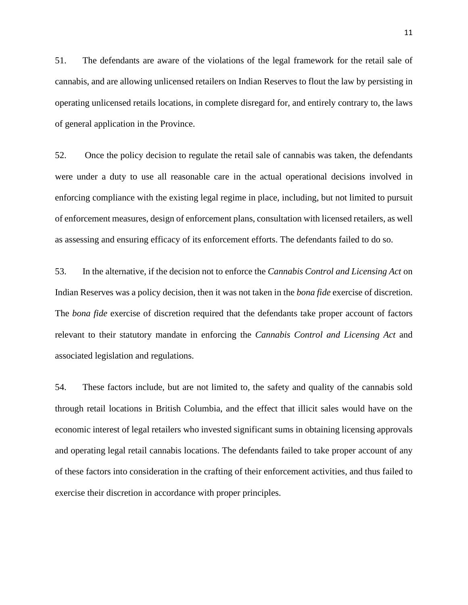51. The defendants are aware of the violations of the legal framework for the retail sale of cannabis, and are allowing unlicensed retailers on Indian Reserves to flout the law by persisting in operating unlicensed retails locations, in complete disregard for, and entirely contrary to, the laws of general application in the Province.

52. Once the policy decision to regulate the retail sale of cannabis was taken, the defendants were under a duty to use all reasonable care in the actual operational decisions involved in enforcing compliance with the existing legal regime in place, including, but not limited to pursuit of enforcement measures, design of enforcement plans, consultation with licensed retailers, as well as assessing and ensuring efficacy of its enforcement efforts. The defendants failed to do so.

53. In the alternative, if the decision not to enforce the *Cannabis Control and Licensing Act* on Indian Reserves was a policy decision, then it was not taken in the *bona fide* exercise of discretion. The *bona fide* exercise of discretion required that the defendants take proper account of factors relevant to their statutory mandate in enforcing the *Cannabis Control and Licensing Act* and associated legislation and regulations.

54. These factors include, but are not limited to, the safety and quality of the cannabis sold through retail locations in British Columbia, and the effect that illicit sales would have on the economic interest of legal retailers who invested significant sums in obtaining licensing approvals and operating legal retail cannabis locations. The defendants failed to take proper account of any of these factors into consideration in the crafting of their enforcement activities, and thus failed to exercise their discretion in accordance with proper principles.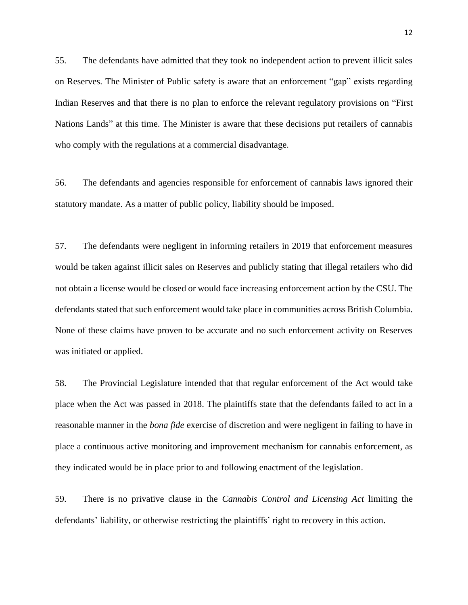55. The defendants have admitted that they took no independent action to prevent illicit sales on Reserves. The Minister of Public safety is aware that an enforcement "gap" exists regarding Indian Reserves and that there is no plan to enforce the relevant regulatory provisions on "First Nations Lands" at this time. The Minister is aware that these decisions put retailers of cannabis who comply with the regulations at a commercial disadvantage.

56. The defendants and agencies responsible for enforcement of cannabis laws ignored their statutory mandate. As a matter of public policy, liability should be imposed.

57. The defendants were negligent in informing retailers in 2019 that enforcement measures would be taken against illicit sales on Reserves and publicly stating that illegal retailers who did not obtain a license would be closed or would face increasing enforcement action by the CSU. The defendants stated that such enforcement would take place in communities across British Columbia. None of these claims have proven to be accurate and no such enforcement activity on Reserves was initiated or applied.

58. The Provincial Legislature intended that that regular enforcement of the Act would take place when the Act was passed in 2018. The plaintiffs state that the defendants failed to act in a reasonable manner in the *bona fide* exercise of discretion and were negligent in failing to have in place a continuous active monitoring and improvement mechanism for cannabis enforcement, as they indicated would be in place prior to and following enactment of the legislation.

59. There is no privative clause in the *Cannabis Control and Licensing Act* limiting the defendants' liability, or otherwise restricting the plaintiffs' right to recovery in this action.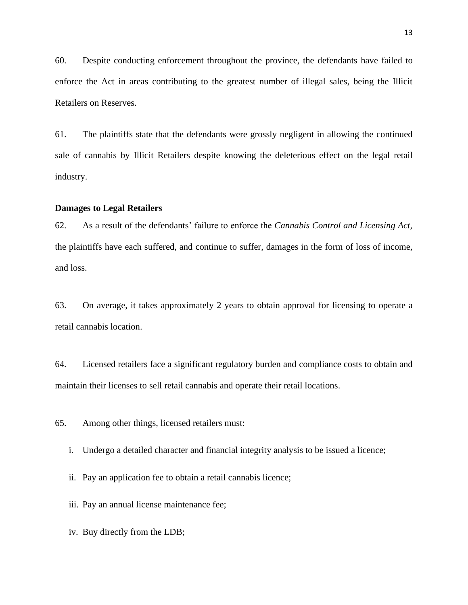60. Despite conducting enforcement throughout the province, the defendants have failed to enforce the Act in areas contributing to the greatest number of illegal sales, being the Illicit Retailers on Reserves.

61. The plaintiffs state that the defendants were grossly negligent in allowing the continued sale of cannabis by Illicit Retailers despite knowing the deleterious effect on the legal retail industry.

#### **Damages to Legal Retailers**

62. As a result of the defendants' failure to enforce the *Cannabis Control and Licensing Act,*  the plaintiffs have each suffered, and continue to suffer, damages in the form of loss of income, and loss.

63. On average, it takes approximately 2 years to obtain approval for licensing to operate a retail cannabis location.

64. Licensed retailers face a significant regulatory burden and compliance costs to obtain and maintain their licenses to sell retail cannabis and operate their retail locations.

65. Among other things, licensed retailers must:

i. Undergo a detailed character and financial integrity analysis to be issued a licence;

ii. Pay an application fee to obtain a retail cannabis licence;

iii. Pay an annual license maintenance fee;

iv. Buy directly from the LDB;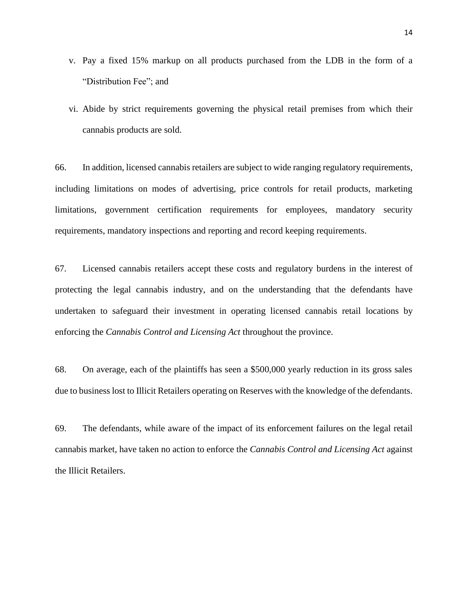- v. Pay a fixed 15% markup on all products purchased from the LDB in the form of a "Distribution Fee"; and
- vi. Abide by strict requirements governing the physical retail premises from which their cannabis products are sold.

66. In addition, licensed cannabis retailers are subject to wide ranging regulatory requirements, including limitations on modes of advertising, price controls for retail products, marketing limitations, government certification requirements for employees, mandatory security requirements, mandatory inspections and reporting and record keeping requirements.

67. Licensed cannabis retailers accept these costs and regulatory burdens in the interest of protecting the legal cannabis industry, and on the understanding that the defendants have undertaken to safeguard their investment in operating licensed cannabis retail locations by enforcing the *Cannabis Control and Licensing Act* throughout the province.

68. On average, each of the plaintiffs has seen a \$500,000 yearly reduction in its gross sales due to business lost to Illicit Retailers operating on Reserves with the knowledge of the defendants.

69. The defendants, while aware of the impact of its enforcement failures on the legal retail cannabis market, have taken no action to enforce the *Cannabis Control and Licensing Act* against the Illicit Retailers.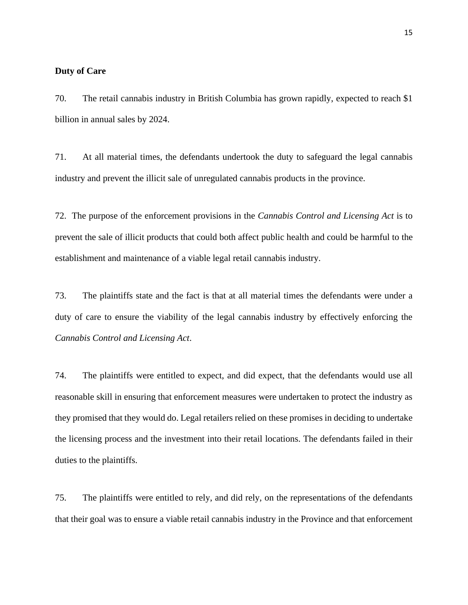## **Duty of Care**

70. The retail cannabis industry in British Columbia has grown rapidly, expected to reach \$1 billion in annual sales by 2024.

71. At all material times, the defendants undertook the duty to safeguard the legal cannabis industry and prevent the illicit sale of unregulated cannabis products in the province.

72. The purpose of the enforcement provisions in the *Cannabis Control and Licensing Act* is to prevent the sale of illicit products that could both affect public health and could be harmful to the establishment and maintenance of a viable legal retail cannabis industry.

73. The plaintiffs state and the fact is that at all material times the defendants were under a duty of care to ensure the viability of the legal cannabis industry by effectively enforcing the *Cannabis Control and Licensing Act*.

74. The plaintiffs were entitled to expect, and did expect, that the defendants would use all reasonable skill in ensuring that enforcement measures were undertaken to protect the industry as they promised that they would do. Legal retailers relied on these promises in deciding to undertake the licensing process and the investment into their retail locations. The defendants failed in their duties to the plaintiffs.

75. The plaintiffs were entitled to rely, and did rely, on the representations of the defendants that their goal was to ensure a viable retail cannabis industry in the Province and that enforcement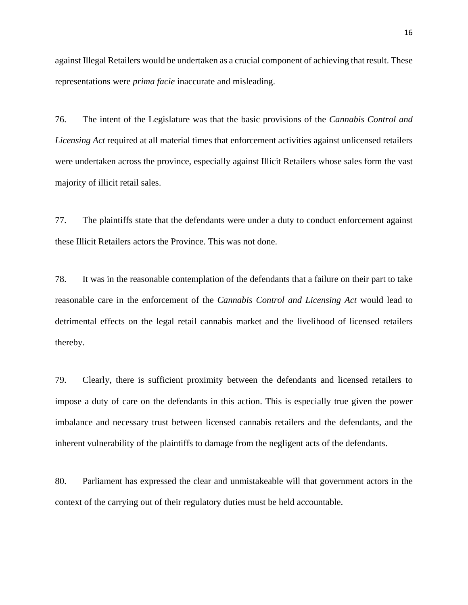against Illegal Retailers would be undertaken as a crucial component of achieving that result. These representations were *prima facie* inaccurate and misleading.

76. The intent of the Legislature was that the basic provisions of the *Cannabis Control and Licensing Act* required at all material times that enforcement activities against unlicensed retailers were undertaken across the province, especially against Illicit Retailers whose sales form the vast majority of illicit retail sales.

77. The plaintiffs state that the defendants were under a duty to conduct enforcement against these Illicit Retailers actors the Province. This was not done.

78. It was in the reasonable contemplation of the defendants that a failure on their part to take reasonable care in the enforcement of the *Cannabis Control and Licensing Act* would lead to detrimental effects on the legal retail cannabis market and the livelihood of licensed retailers thereby.

79. Clearly, there is sufficient proximity between the defendants and licensed retailers to impose a duty of care on the defendants in this action. This is especially true given the power imbalance and necessary trust between licensed cannabis retailers and the defendants, and the inherent vulnerability of the plaintiffs to damage from the negligent acts of the defendants.

80. Parliament has expressed the clear and unmistakeable will that government actors in the context of the carrying out of their regulatory duties must be held accountable.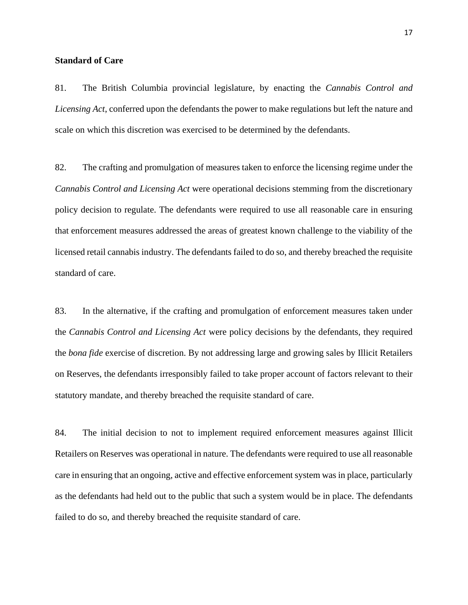## **Standard of Care**

81. The British Columbia provincial legislature, by enacting the *Cannabis Control and Licensing Act*, conferred upon the defendants the power to make regulations but left the nature and scale on which this discretion was exercised to be determined by the defendants.

82. The crafting and promulgation of measures taken to enforce the licensing regime under the *Cannabis Control and Licensing Act* were operational decisions stemming from the discretionary policy decision to regulate. The defendants were required to use all reasonable care in ensuring that enforcement measures addressed the areas of greatest known challenge to the viability of the licensed retail cannabis industry. The defendants failed to do so, and thereby breached the requisite standard of care.

83. In the alternative, if the crafting and promulgation of enforcement measures taken under the *Cannabis Control and Licensing Act* were policy decisions by the defendants, they required the *bona fide* exercise of discretion. By not addressing large and growing sales by Illicit Retailers on Reserves, the defendants irresponsibly failed to take proper account of factors relevant to their statutory mandate, and thereby breached the requisite standard of care.

84. The initial decision to not to implement required enforcement measures against Illicit Retailers on Reserves was operational in nature. The defendants were required to use all reasonable care in ensuring that an ongoing, active and effective enforcement system was in place, particularly as the defendants had held out to the public that such a system would be in place. The defendants failed to do so, and thereby breached the requisite standard of care.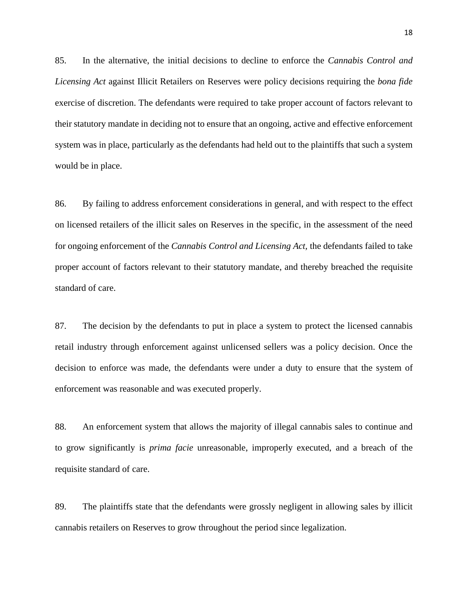85. In the alternative, the initial decisions to decline to enforce the *Cannabis Control and Licensing Act* against Illicit Retailers on Reserves were policy decisions requiring the *bona fide*  exercise of discretion. The defendants were required to take proper account of factors relevant to their statutory mandate in deciding not to ensure that an ongoing, active and effective enforcement system was in place, particularly as the defendants had held out to the plaintiffs that such a system would be in place.

86. By failing to address enforcement considerations in general, and with respect to the effect on licensed retailers of the illicit sales on Reserves in the specific, in the assessment of the need for ongoing enforcement of the *Cannabis Control and Licensing Act,* the defendants failed to take proper account of factors relevant to their statutory mandate, and thereby breached the requisite standard of care.

87. The decision by the defendants to put in place a system to protect the licensed cannabis retail industry through enforcement against unlicensed sellers was a policy decision. Once the decision to enforce was made, the defendants were under a duty to ensure that the system of enforcement was reasonable and was executed properly.

88. An enforcement system that allows the majority of illegal cannabis sales to continue and to grow significantly is *prima facie* unreasonable, improperly executed, and a breach of the requisite standard of care.

89. The plaintiffs state that the defendants were grossly negligent in allowing sales by illicit cannabis retailers on Reserves to grow throughout the period since legalization.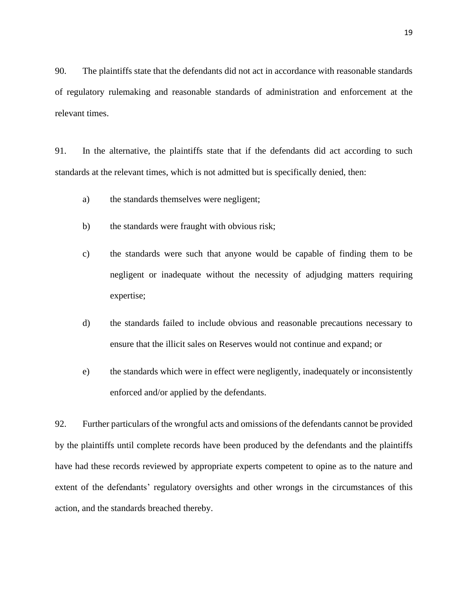90. The plaintiffs state that the defendants did not act in accordance with reasonable standards of regulatory rulemaking and reasonable standards of administration and enforcement at the relevant times.

91. In the alternative, the plaintiffs state that if the defendants did act according to such standards at the relevant times, which is not admitted but is specifically denied, then:

- a) the standards themselves were negligent;
- b) the standards were fraught with obvious risk;
- c) the standards were such that anyone would be capable of finding them to be negligent or inadequate without the necessity of adjudging matters requiring expertise;
- d) the standards failed to include obvious and reasonable precautions necessary to ensure that the illicit sales on Reserves would not continue and expand; or
- e) the standards which were in effect were negligently, inadequately or inconsistently enforced and/or applied by the defendants.

92. Further particulars of the wrongful acts and omissions of the defendants cannot be provided by the plaintiffs until complete records have been produced by the defendants and the plaintiffs have had these records reviewed by appropriate experts competent to opine as to the nature and extent of the defendants' regulatory oversights and other wrongs in the circumstances of this action, and the standards breached thereby.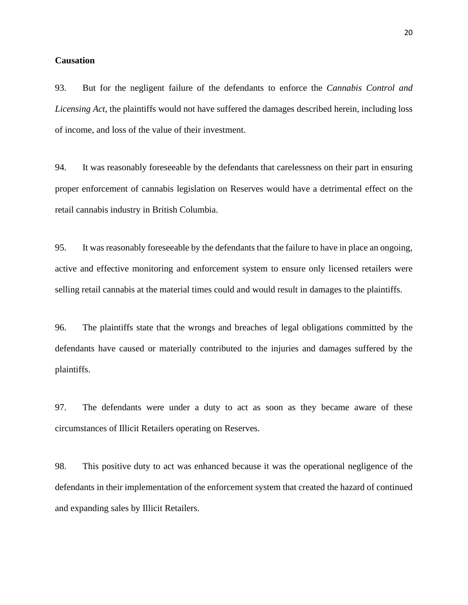## **Causation**

93. But for the negligent failure of the defendants to enforce the *Cannabis Control and Licensing Act,* the plaintiffs would not have suffered the damages described herein, including loss of income, and loss of the value of their investment.

94. It was reasonably foreseeable by the defendants that carelessness on their part in ensuring proper enforcement of cannabis legislation on Reserves would have a detrimental effect on the retail cannabis industry in British Columbia.

95. It was reasonably foreseeable by the defendants that the failure to have in place an ongoing, active and effective monitoring and enforcement system to ensure only licensed retailers were selling retail cannabis at the material times could and would result in damages to the plaintiffs.

96. The plaintiffs state that the wrongs and breaches of legal obligations committed by the defendants have caused or materially contributed to the injuries and damages suffered by the plaintiffs.

97. The defendants were under a duty to act as soon as they became aware of these circumstances of Illicit Retailers operating on Reserves.

98. This positive duty to act was enhanced because it was the operational negligence of the defendants in their implementation of the enforcement system that created the hazard of continued and expanding sales by Illicit Retailers.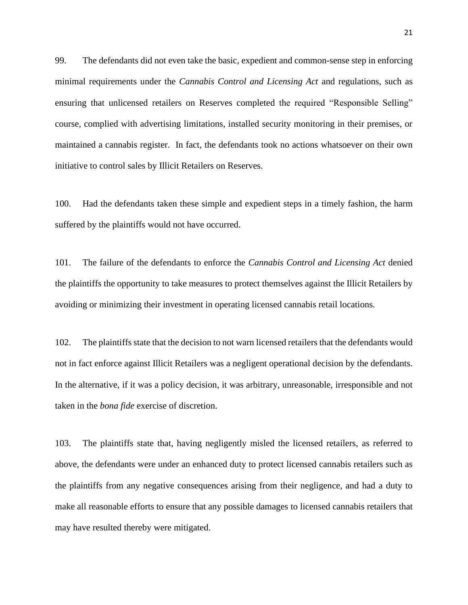99. The defendants did not even take the basic, expedient and common-sense step in enforcing minimal requirements under the *Cannabis Control and Licensing Act* and regulations, such as ensuring that unlicensed retailers on Reserves completed the required "Responsible Selling" course, complied with advertising limitations, installed security monitoring in their premises, or maintained a cannabis register. In fact, the defendants took no actions whatsoever on their own initiative to control sales by Illicit Retailers on Reserves.

100. Had the defendants taken these simple and expedient steps in a timely fashion, the harm suffered by the plaintiffs would not have occurred.

101. The failure of the defendants to enforce the *Cannabis Control and Licensing Act* denied the plaintiffs the opportunity to take measures to protect themselves against the Illicit Retailers by avoiding or minimizing their investment in operating licensed cannabis retail locations.

102. The plaintiffs state that the decision to not warn licensed retailers that the defendants would not in fact enforce against Illicit Retailers was a negligent operational decision by the defendants. In the alternative, if it was a policy decision, it was arbitrary, unreasonable, irresponsible and not taken in the *bona fide* exercise of discretion.

103. The plaintiffs state that, having negligently misled the licensed retailers, as referred to above, the defendants were under an enhanced duty to protect licensed cannabis retailers such as the plaintiffs from any negative consequences arising from their negligence, and had a duty to make all reasonable efforts to ensure that any possible damages to licensed cannabis retailers that may have resulted thereby were mitigated.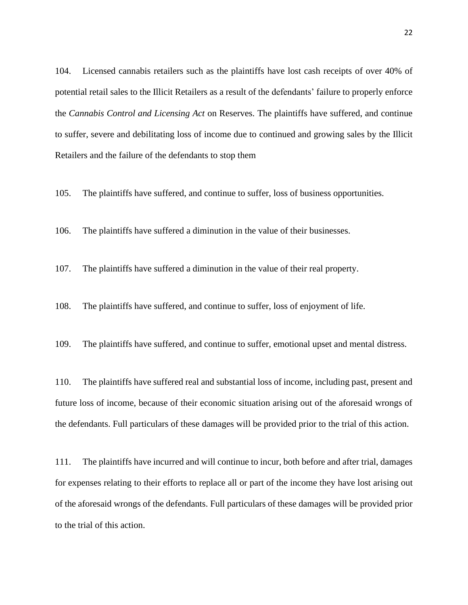104. Licensed cannabis retailers such as the plaintiffs have lost cash receipts of over 40% of potential retail sales to the Illicit Retailers as a result of the defendants' failure to properly enforce the *Cannabis Control and Licensing Act* on Reserves. The plaintiffs have suffered, and continue to suffer, severe and debilitating loss of income due to continued and growing sales by the Illicit Retailers and the failure of the defendants to stop them

105. The plaintiffs have suffered, and continue to suffer, loss of business opportunities.

106. The plaintiffs have suffered a diminution in the value of their businesses.

107. The plaintiffs have suffered a diminution in the value of their real property.

108. The plaintiffs have suffered, and continue to suffer, loss of enjoyment of life.

109. The plaintiffs have suffered, and continue to suffer, emotional upset and mental distress.

110. The plaintiffs have suffered real and substantial loss of income, including past, present and future loss of income, because of their economic situation arising out of the aforesaid wrongs of the defendants. Full particulars of these damages will be provided prior to the trial of this action.

111. The plaintiffs have incurred and will continue to incur, both before and after trial, damages for expenses relating to their efforts to replace all or part of the income they have lost arising out of the aforesaid wrongs of the defendants. Full particulars of these damages will be provided prior to the trial of this action.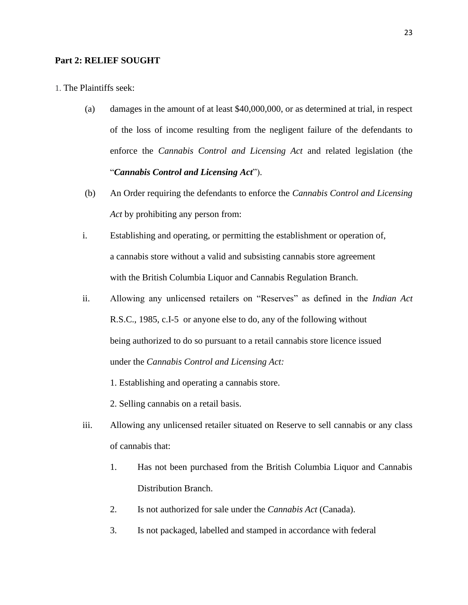## **Part 2: RELIEF SOUGHT**

1. The Plaintiffs seek:

- (a) damages in the amount of at least \$40,000,000, or as determined at trial, in respect of the loss of income resulting from the negligent failure of the defendants to enforce the *Cannabis Control and Licensing Act* and related legislation (the "*Cannabis Control and Licensing Act*").
- (b) An Order requiring the defendants to enforce the *Cannabis Control and Licensing Act* by prohibiting any person from:
- i. Establishing and operating, or permitting the establishment or operation of, a cannabis store without a valid and subsisting cannabis store agreement with the British Columbia Liquor and Cannabis Regulation Branch.
- ii. Allowing any unlicensed retailers on "Reserves" as defined in the *Indian Act*  R.S.C., 1985, c.I-5 or anyone else to do, any of the following without being authorized to do so pursuant to a retail cannabis store licence issued under the *Cannabis Control and Licensing Act:*
	- 1. Establishing and operating a cannabis store.
	- 2. Selling cannabis on a retail basis.
- iii. Allowing any unlicensed retailer situated on Reserve to sell cannabis or any class of cannabis that:
	- 1. Has not been purchased from the British Columbia Liquor and Cannabis Distribution Branch.
	- 2. Is not authorized for sale under the *Cannabis Act* (Canada).
	- 3. Is not packaged, labelled and stamped in accordance with federal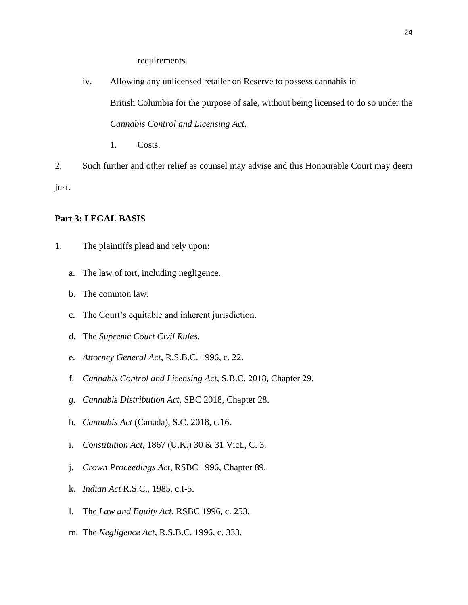requirements.

- iv. Allowing any unlicensed retailer on Reserve to possess cannabis in British Columbia for the purpose of sale, without being licensed to do so under the *Cannabis Control and Licensing Act.*
	- 1. Costs.

2. Such further and other relief as counsel may advise and this Honourable Court may deem just.

# **Part 3: LEGAL BASIS**

- 1. The plaintiffs plead and rely upon:
	- a. The law of tort, including negligence.
	- b. The common law.
	- c. The Court's equitable and inherent jurisdiction.
	- d. The *Supreme Court Civil Rules*.
	- e. *Attorney General Act*, R.S.B.C. 1996, c. 22.
	- f. *Cannabis Control and Licensing Act,* S.B.C. 2018, Chapter 29.
	- *g. Cannabis Distribution Act,* SBC 2018, Chapter 28.
	- h. *Cannabis Act* (Canada), S.C. 2018, c.16.
	- i. *Constitution Act*, 1867 (U.K.) 30 & 31 Vict., C. 3.
	- j. *Crown Proceedings Act*, RSBC 1996, Chapter 89.
	- k. *Indian Act* R.S.C., 1985, c.I-5.
	- l. The *Law and Equity Act*, RSBC 1996, c. 253.
	- m. The *Negligence Act*, R.S.B.C. 1996, c. 333.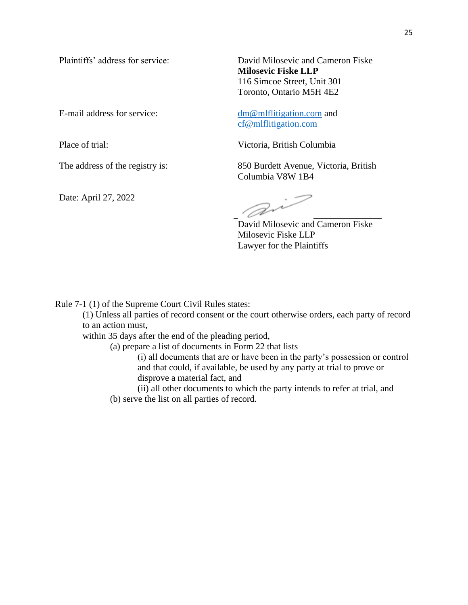Date: April 27, 2022

Plaintiffs' address for service: David Milosevic and Cameron Fiske **Milosevic Fiske LLP** 116 Simcoe Street, Unit 301 Toronto, Ontario M5H 4E2

E-mail address for service: [dm@mlflitigation.com](mailto:dm@mlflitigation.com) and [cf@mlflitigation.com](mailto:cf@mlflitigation.com)

Place of trial: Victoria, British Columbia

The address of the registry is: 850 Burdett Avenue, Victoria, British Columbia V8W 1B4

D~

David Milosevic and Cameron Fiske Milosevic Fiske LLP Lawyer for the Plaintiffs

Rule 7-1 (1) of the Supreme Court Civil Rules states:

(1) Unless all parties of record consent or the court otherwise orders, each party of record to an action must,

within 35 days after the end of the pleading period,

(a) prepare a list of documents in Form 22 that lists

(i) all documents that are or have been in the party's possession or control and that could, if available, be used by any party at trial to prove or disprove a material fact, and

(ii) all other documents to which the party intends to refer at trial, and

(b) serve the list on all parties of record.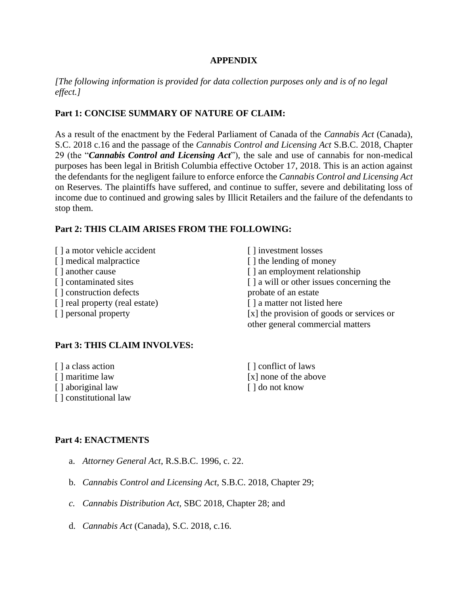# **APPENDIX**

# *[The following information is provided for data collection purposes only and is of no legal effect.]*

# **Part 1: CONCISE SUMMARY OF NATURE OF CLAIM:**

As a result of the enactment by the Federal Parliament of Canada of the *Cannabis Act* (Canada), S.C. 2018 c.16 and the passage of the *Cannabis Control and Licensing Act* S.B.C. 2018, Chapter 29 (the "*Cannabis Control and Licensing Act*")*,* the sale and use of cannabis for non-medical purposes has been legal in British Columbia effective October 17, 2018. This is an action against the defendants for the negligent failure to enforce enforce the *Cannabis Control and Licensing Act*  on Reserves. The plaintiffs have suffered, and continue to suffer, severe and debilitating loss of income due to continued and growing sales by Illicit Retailers and the failure of the defendants to stop them.

# **Part 2: THIS CLAIM ARISES FROM THE FOLLOWING:**

| [] a motor vehicle accident    | [] investment losses                                                          |
|--------------------------------|-------------------------------------------------------------------------------|
| [] medical malpractice         | [] the lending of money                                                       |
| [] another cause               | [] an employment relationship                                                 |
| [] contaminated sites          | [ ] a will or other issues concerning the                                     |
| [] construction defects        | probate of an estate                                                          |
| [] real property (real estate) | [] a matter not listed here                                                   |
| [ ] personal property          | [x] the provision of goods or services or<br>other general commercial matters |

# **Part 3: THIS CLAIM INVOLVES:**

| [ ] a class action    | [] conflict of laws   |
|-----------------------|-----------------------|
| [] maritime law       | [x] none of the above |
| [] aboriginal law     | [ ] do not know       |
| [] constitutional law |                       |

# **Part 4: ENACTMENTS**

- a. *Attorney General Act*, R.S.B.C. 1996, c. 22.
- b. *Cannabis Control and Licensing Act,* S.B.C. 2018, Chapter 29;
- *c. Cannabis Distribution Act,* SBC 2018, Chapter 28; and
- d. *Cannabis Act* (Canada), S.C. 2018, c.16.